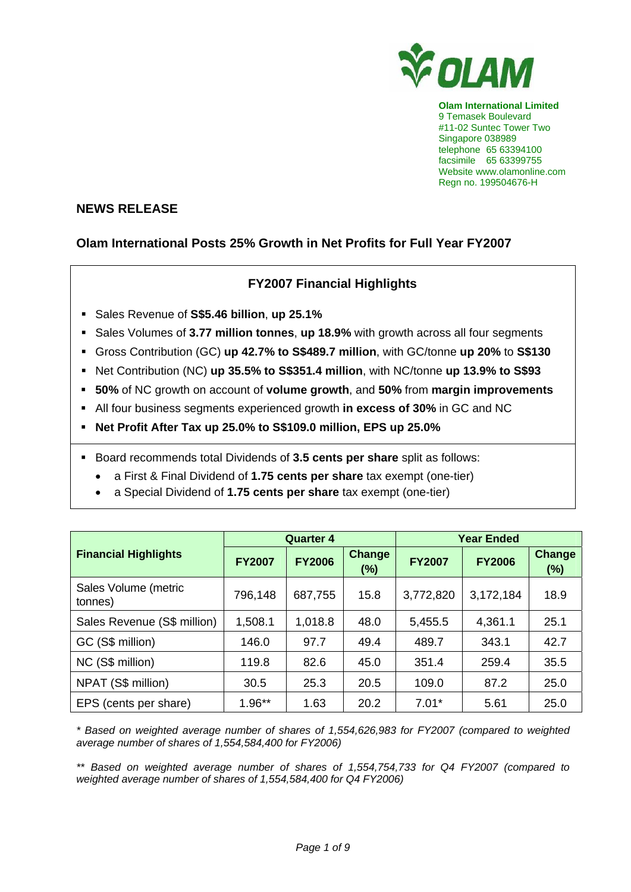

**Olam International Limited**  9 Temasek Boulevard #11-02 Suntec Tower Two Singapore 038989 telephone 65 63394100 facsimile 65 63399755 Website www.olamonline.com Regn no. 199504676-H

# **NEWS RELEASE**

# **Olam International Posts 25% Growth in Net Profits for Full Year FY2007**

# **FY2007 Financial Highlights**

- Sales Revenue of **S\$5.46 billion**, **up 25.1%**
- **Sales Volumes of 3.77 million tonnes, up 18.9% with growth across all four segments**
- Gross Contribution (GC) **up 42.7% to S\$489.7 million**, with GC/tonne **up 20%** to **S\$130**
- Net Contribution (NC) **up 35.5% to S\$351.4 million**, with NC/tonne **up 13.9% to S\$93**
- **50%** of NC growth on account of **volume growth**, and **50%** from **margin improvements**
- All four business segments experienced growth **in excess of 30%** in GC and NC
- **Net Profit After Tax up 25.0% to S\$109.0 million, EPS up 25.0%**
- Board recommends total Dividends of **3.5 cents per share** split as follows:
	- a First & Final Dividend of **1.75 cents per share** tax exempt (one-tier)
	- a Special Dividend of **1.75 cents per share** tax exempt (one-tier)

|                                 |               | <b>Quarter 4</b> |                      | <b>Year Ended</b> |               |                         |  |
|---------------------------------|---------------|------------------|----------------------|-------------------|---------------|-------------------------|--|
| <b>Financial Highlights</b>     | <b>FY2007</b> | <b>FY2006</b>    | <b>Change</b><br>(%) | <b>FY2007</b>     | <b>FY2006</b> | <b>Change</b><br>$(\%)$ |  |
| Sales Volume (metric<br>tonnes) | 796,148       | 687,755          | 15.8                 | 3,772,820         | 3,172,184     | 18.9                    |  |
| Sales Revenue (S\$ million)     | 1,508.1       | 1,018.8          | 48.0                 | 5,455.5           | 4,361.1       | 25.1                    |  |
| GC (S\$ million)                | 146.0         | 97.7             | 49.4                 | 489.7             | 343.1         | 42.7                    |  |
| NC (S\$ million)                | 119.8         | 82.6             | 45.0                 | 351.4             | 259.4         | 35.5                    |  |
| NPAT (S\$ million)              | 30.5          | 25.3             | 20.5                 | 109.0             | 87.2          | 25.0                    |  |
| EPS (cents per share)           | $1.96**$      | 1.63             | 20.2                 | $7.01*$           | 5.61          | 25.0                    |  |

*\* Based on weighted average number of shares of 1,554,626,983 for FY2007 (compared to weighted average number of shares of 1,554,584,400 for FY2006)* 

*\*\* Based on weighted average number of shares of 1,554,754,733 for Q4 FY2007 (compared to weighted average number of shares of 1,554,584,400 for Q4 FY2006)*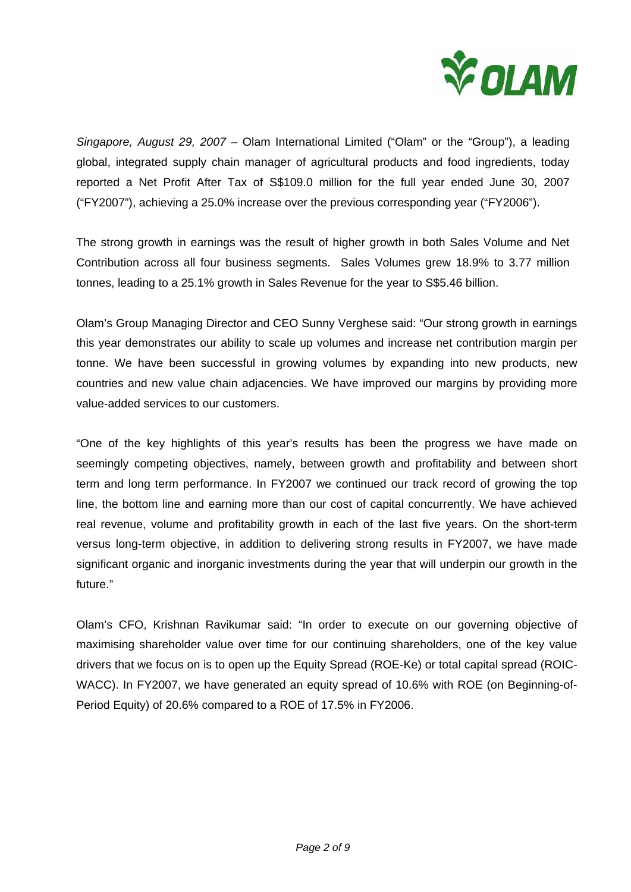

*Singapore, August 29, 2007 –* Olam International Limited ("Olam" or the "Group"), a leading global, integrated supply chain manager of agricultural products and food ingredients, today reported a Net Profit After Tax of S\$109.0 million for the full year ended June 30, 2007 ("FY2007"), achieving a 25.0% increase over the previous corresponding year ("FY2006").

The strong growth in earnings was the result of higher growth in both Sales Volume and Net Contribution across all four business segments. Sales Volumes grew 18.9% to 3.77 million tonnes, leading to a 25.1% growth in Sales Revenue for the year to S\$5.46 billion.

Olam's Group Managing Director and CEO Sunny Verghese said: "Our strong growth in earnings this year demonstrates our ability to scale up volumes and increase net contribution margin per tonne. We have been successful in growing volumes by expanding into new products, new countries and new value chain adjacencies. We have improved our margins by providing more value-added services to our customers.

"One of the key highlights of this year's results has been the progress we have made on seemingly competing objectives, namely, between growth and profitability and between short term and long term performance. In FY2007 we continued our track record of growing the top line, the bottom line and earning more than our cost of capital concurrently. We have achieved real revenue, volume and profitability growth in each of the last five years. On the short-term versus long-term objective, in addition to delivering strong results in FY2007, we have made significant organic and inorganic investments during the year that will underpin our growth in the future."

Olam's CFO, Krishnan Ravikumar said: "In order to execute on our governing objective of maximising shareholder value over time for our continuing shareholders, one of the key value drivers that we focus on is to open up the Equity Spread (ROE-Ke) or total capital spread (ROIC-WACC). In FY2007, we have generated an equity spread of 10.6% with ROE (on Beginning-of-Period Equity) of 20.6% compared to a ROE of 17.5% in FY2006.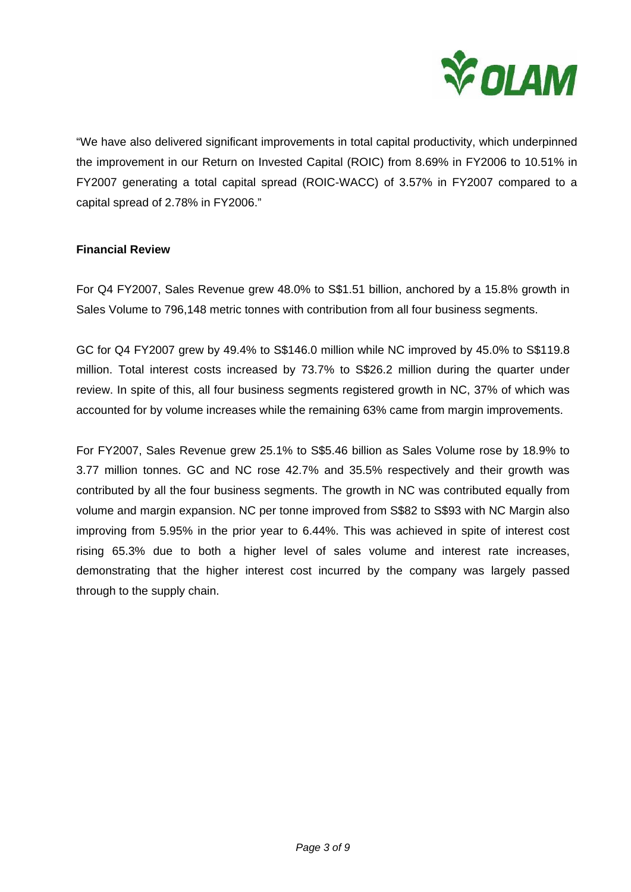

"We have also delivered significant improvements in total capital productivity, which underpinned the improvement in our Return on Invested Capital (ROIC) from 8.69% in FY2006 to 10.51% in FY2007 generating a total capital spread (ROIC-WACC) of 3.57% in FY2007 compared to a capital spread of 2.78% in FY2006."

## **Financial Review**

For Q4 FY2007, Sales Revenue grew 48.0% to S\$1.51 billion, anchored by a 15.8% growth in Sales Volume to 796,148 metric tonnes with contribution from all four business segments.

GC for Q4 FY2007 grew by 49.4% to S\$146.0 million while NC improved by 45.0% to S\$119.8 million. Total interest costs increased by 73.7% to S\$26.2 million during the quarter under review. In spite of this, all four business segments registered growth in NC, 37% of which was accounted for by volume increases while the remaining 63% came from margin improvements.

For FY2007, Sales Revenue grew 25.1% to S\$5.46 billion as Sales Volume rose by 18.9% to 3.77 million tonnes. GC and NC rose 42.7% and 35.5% respectively and their growth was contributed by all the four business segments. The growth in NC was contributed equally from volume and margin expansion. NC per tonne improved from S\$82 to S\$93 with NC Margin also improving from 5.95% in the prior year to 6.44%. This was achieved in spite of interest cost rising 65.3% due to both a higher level of sales volume and interest rate increases, demonstrating that the higher interest cost incurred by the company was largely passed through to the supply chain.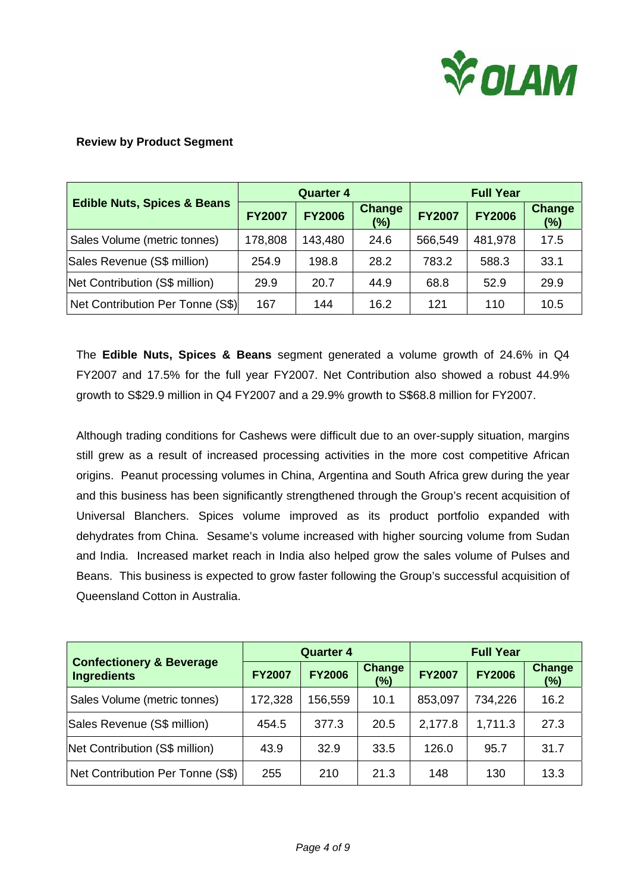

## **Review by Product Segment**

|                                        |               | <b>Quarter 4</b> |                         | <b>Full Year</b> |               |                      |
|----------------------------------------|---------------|------------------|-------------------------|------------------|---------------|----------------------|
| <b>Edible Nuts, Spices &amp; Beans</b> | <b>FY2007</b> | <b>FY2006</b>    | <b>Change</b><br>$(\%)$ | <b>FY2007</b>    | <b>FY2006</b> | <b>Change</b><br>(%) |
| Sales Volume (metric tonnes)           | 178,808       | 143,480          | 24.6                    | 566,549          | 481,978       | 17.5                 |
| Sales Revenue (S\$ million)            | 254.9         | 198.8            | 28.2                    | 783.2            | 588.3         | 33.1                 |
| Net Contribution (S\$ million)         | 29.9          | 20.7             | 44.9                    | 68.8             | 52.9          | 29.9                 |
| Net Contribution Per Tonne (S\$)       | 167           | 144              | 16.2                    | 121              | 110           | 10.5                 |

The **Edible Nuts, Spices & Beans** segment generated a volume growth of 24.6% in Q4 FY2007 and 17.5% for the full year FY2007. Net Contribution also showed a robust 44.9% growth to S\$29.9 million in Q4 FY2007 and a 29.9% growth to S\$68.8 million for FY2007.

Although trading conditions for Cashews were difficult due to an over-supply situation, margins still grew as a result of increased processing activities in the more cost competitive African origins. Peanut processing volumes in China, Argentina and South Africa grew during the year and this business has been significantly strengthened through the Group's recent acquisition of Universal Blanchers. Spices volume improved as its product portfolio expanded with dehydrates from China. Sesame's volume increased with higher sourcing volume from Sudan and India. Increased market reach in India also helped grow the sales volume of Pulses and Beans. This business is expected to grow faster following the Group's successful acquisition of Queensland Cotton in Australia.

|                                                           |               | <b>Quarter 4</b> |                      | <b>Full Year</b> |               |                         |
|-----------------------------------------------------------|---------------|------------------|----------------------|------------------|---------------|-------------------------|
| <b>Confectionery &amp; Beverage</b><br><b>Ingredients</b> | <b>FY2007</b> | <b>FY2006</b>    | <b>Change</b><br>(%) | <b>FY2007</b>    | <b>FY2006</b> | <b>Change</b><br>$(\%)$ |
| Sales Volume (metric tonnes)                              | 172,328       | 156,559          | 10.1                 | 853,097          | 734,226       | 16.2                    |
| Sales Revenue (S\$ million)                               | 454.5         | 377.3            | 20.5                 | 2,177.8          | 1,711.3       | 27.3                    |
| Net Contribution (S\$ million)                            | 43.9          | 32.9             | 33.5                 | 126.0            | 95.7          | 31.7                    |
| Net Contribution Per Tonne (S\$)                          | 255           | 210              | 21.3                 | 148              | 130           | 13.3                    |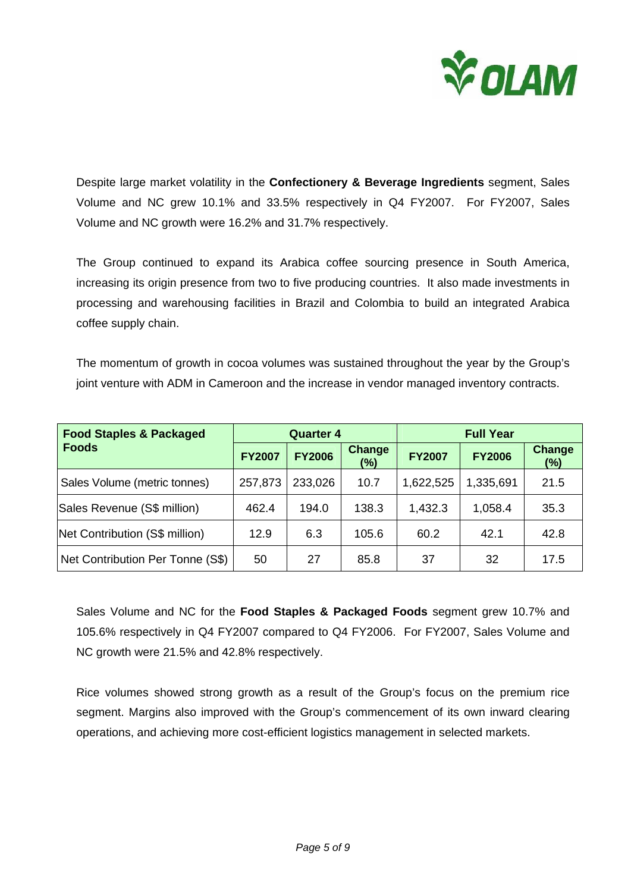

Despite large market volatility in the **Confectionery & Beverage Ingredients** segment, Sales Volume and NC grew 10.1% and 33.5% respectively in Q4 FY2007. For FY2007, Sales Volume and NC growth were 16.2% and 31.7% respectively.

The Group continued to expand its Arabica coffee sourcing presence in South America, increasing its origin presence from two to five producing countries. It also made investments in processing and warehousing facilities in Brazil and Colombia to build an integrated Arabica coffee supply chain.

The momentum of growth in cocoa volumes was sustained throughout the year by the Group's joint venture with ADM in Cameroon and the increase in vendor managed inventory contracts.

| <b>Food Staples &amp; Packaged</b> |               | <b>Quarter 4</b> |                      | <b>Full Year</b> |               |               |  |
|------------------------------------|---------------|------------------|----------------------|------------------|---------------|---------------|--|
| <b>Foods</b>                       | <b>FY2007</b> | <b>FY2006</b>    | <b>Change</b><br>(%) | <b>FY2007</b>    | <b>FY2006</b> | Change<br>(%) |  |
| Sales Volume (metric tonnes)       | 257,873       | 233,026          | 10.7                 | 1,622,525        | 1,335,691     | 21.5          |  |
| Sales Revenue (S\$ million)        | 462.4         | 194.0            | 138.3                | 1,432.3          | 1,058.4       | 35.3          |  |
| Net Contribution (S\$ million)     | 12.9          | 6.3              | 105.6                | 60.2             | 42.1          | 42.8          |  |
| Net Contribution Per Tonne (S\$)   | 50            | 27               | 85.8                 | 37               | 32            | 17.5          |  |

Sales Volume and NC for the **Food Staples & Packaged Foods** segment grew 10.7% and 105.6% respectively in Q4 FY2007 compared to Q4 FY2006. For FY2007, Sales Volume and NC growth were 21.5% and 42.8% respectively.

Rice volumes showed strong growth as a result of the Group's focus on the premium rice segment. Margins also improved with the Group's commencement of its own inward clearing operations, and achieving more cost-efficient logistics management in selected markets.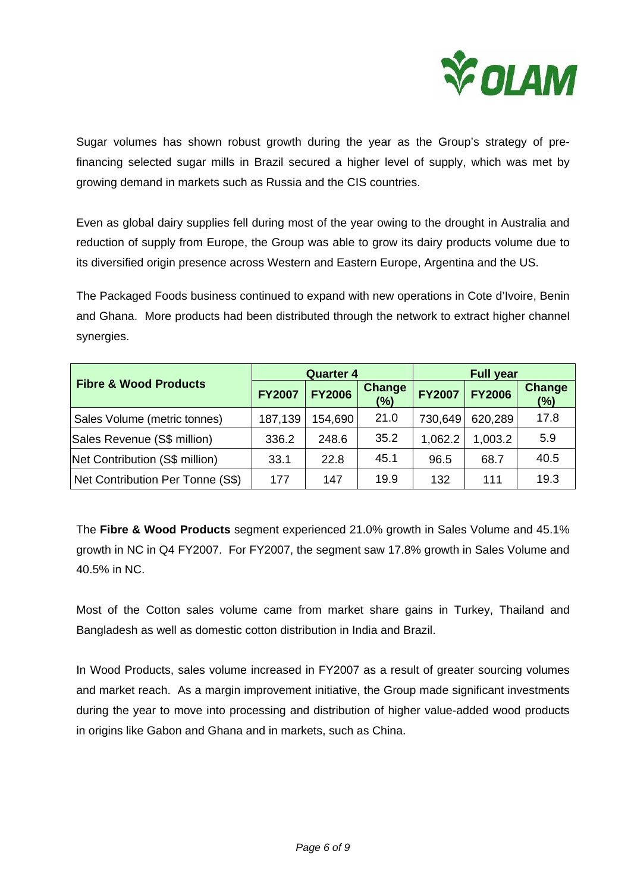

Sugar volumes has shown robust growth during the year as the Group's strategy of prefinancing selected sugar mills in Brazil secured a higher level of supply, which was met by growing demand in markets such as Russia and the CIS countries.

Even as global dairy supplies fell during most of the year owing to the drought in Australia and reduction of supply from Europe, the Group was able to grow its dairy products volume due to its diversified origin presence across Western and Eastern Europe, Argentina and the US.

The Packaged Foods business continued to expand with new operations in Cote d'Ivoire, Benin and Ghana. More products had been distributed through the network to extract higher channel synergies.

|                                  |               | <b>Quarter 4</b> |                      | <b>Full year</b> |               |                      |
|----------------------------------|---------------|------------------|----------------------|------------------|---------------|----------------------|
| <b>Fibre &amp; Wood Products</b> | <b>FY2007</b> | <b>FY2006</b>    | <b>Change</b><br>(%) | <b>FY2007</b>    | <b>FY2006</b> | <b>Change</b><br>(%) |
| Sales Volume (metric tonnes)     | 187,139       | 154,690          | 21.0                 | 730,649          | 620,289       | 17.8                 |
| Sales Revenue (S\$ million)      | 336.2         | 248.6            | 35.2                 | 1,062.2          | 1,003.2       | 5.9                  |
| Net Contribution (S\$ million)   | 33.1          | 22.8             | 45.1                 | 96.5             | 68.7          | 40.5                 |
| Net Contribution Per Tonne (S\$) | 177           | 147              | 19.9                 | 132              | 111           | 19.3                 |

The **Fibre & Wood Products** segment experienced 21.0% growth in Sales Volume and 45.1% growth in NC in Q4 FY2007. For FY2007, the segment saw 17.8% growth in Sales Volume and 40.5% in NC.

Most of the Cotton sales volume came from market share gains in Turkey, Thailand and Bangladesh as well as domestic cotton distribution in India and Brazil.

In Wood Products, sales volume increased in FY2007 as a result of greater sourcing volumes and market reach. As a margin improvement initiative, the Group made significant investments during the year to move into processing and distribution of higher value-added wood products in origins like Gabon and Ghana and in markets, such as China.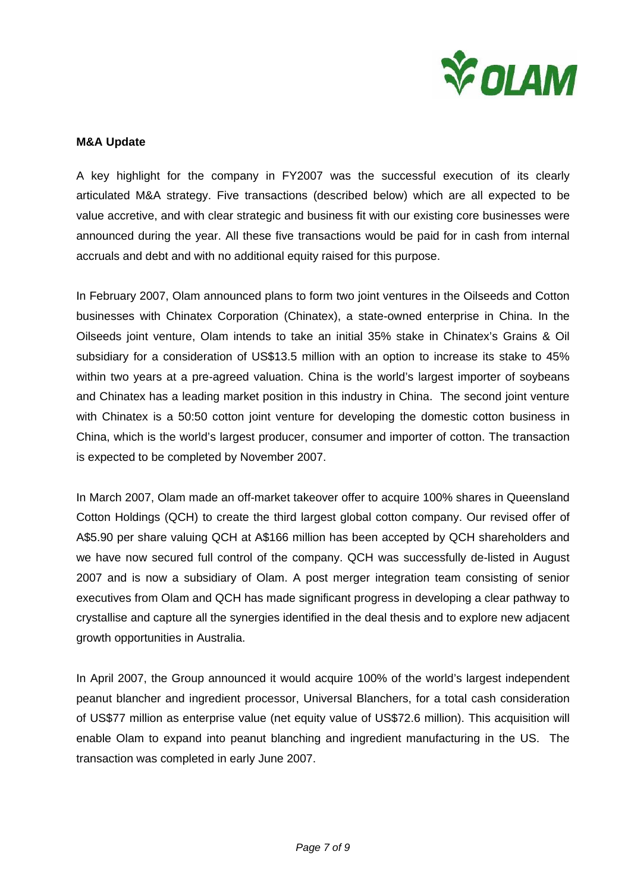

#### **M&A Update**

A key highlight for the company in FY2007 was the successful execution of its clearly articulated M&A strategy. Five transactions (described below) which are all expected to be value accretive, and with clear strategic and business fit with our existing core businesses were announced during the year. All these five transactions would be paid for in cash from internal accruals and debt and with no additional equity raised for this purpose.

In February 2007, Olam announced plans to form two joint ventures in the Oilseeds and Cotton businesses with Chinatex Corporation (Chinatex), a state-owned enterprise in China. In the Oilseeds joint venture, Olam intends to take an initial 35% stake in Chinatex's Grains & Oil subsidiary for a consideration of US\$13.5 million with an option to increase its stake to 45% within two years at a pre-agreed valuation. China is the world's largest importer of soybeans and Chinatex has a leading market position in this industry in China. The second joint venture with Chinatex is a 50:50 cotton joint venture for developing the domestic cotton business in China, which is the world's largest producer, consumer and importer of cotton. The transaction is expected to be completed by November 2007.

In March 2007, Olam made an off-market takeover offer to acquire 100% shares in Queensland Cotton Holdings (QCH) to create the third largest global cotton company. Our revised offer of A\$5.90 per share valuing QCH at A\$166 million has been accepted by QCH shareholders and we have now secured full control of the company. QCH was successfully de-listed in August 2007 and is now a subsidiary of Olam. A post merger integration team consisting of senior executives from Olam and QCH has made significant progress in developing a clear pathway to crystallise and capture all the synergies identified in the deal thesis and to explore new adjacent growth opportunities in Australia.

In April 2007, the Group announced it would acquire 100% of the world's largest independent peanut blancher and ingredient processor, Universal Blanchers, for a total cash consideration of US\$77 million as enterprise value (net equity value of US\$72.6 million). This acquisition will enable Olam to expand into peanut blanching and ingredient manufacturing in the US. The transaction was completed in early June 2007.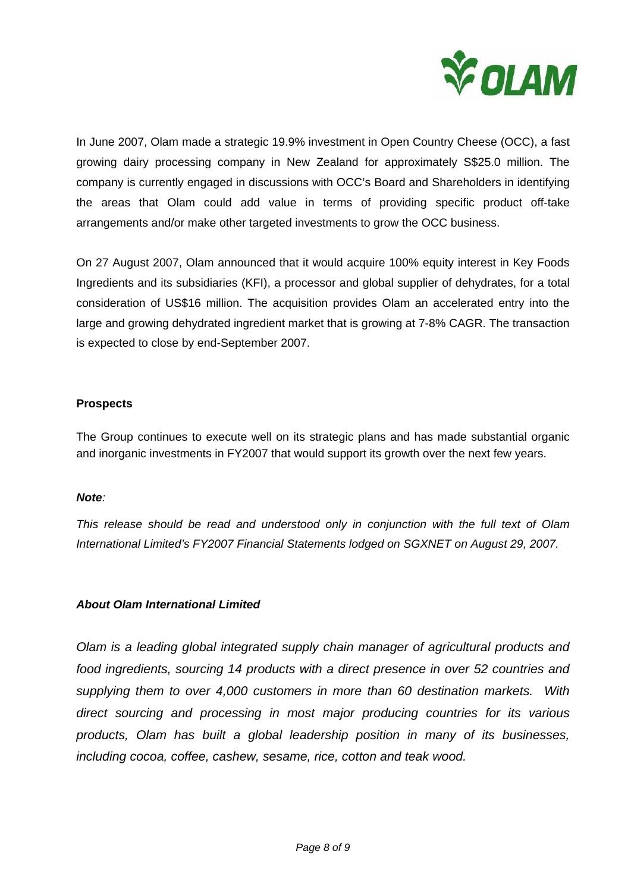

In June 2007, Olam made a strategic 19.9% investment in Open Country Cheese (OCC), a fast growing dairy processing company in New Zealand for approximately S\$25.0 million. The company is currently engaged in discussions with OCC's Board and Shareholders in identifying the areas that Olam could add value in terms of providing specific product off-take arrangements and/or make other targeted investments to grow the OCC business.

On 27 August 2007, Olam announced that it would acquire 100% equity interest in Key Foods Ingredients and its subsidiaries (KFI), a processor and global supplier of dehydrates, for a total consideration of US\$16 million. The acquisition provides Olam an accelerated entry into the large and growing dehydrated ingredient market that is growing at 7-8% CAGR. The transaction is expected to close by end-September 2007.

## **Prospects**

The Group continues to execute well on its strategic plans and has made substantial organic and inorganic investments in FY2007 that would support its growth over the next few years.

### *Note:*

*This release should be read and understood only in conjunction with the full text of Olam International Limited's FY2007 Financial Statements lodged on SGXNET on August 29, 2007.* 

### *About Olam International Limited*

*Olam is a leading global integrated supply chain manager of agricultural products and food ingredients, sourcing 14 products with a direct presence in over 52 countries and supplying them to over 4,000 customers in more than 60 destination markets. With direct sourcing and processing in most major producing countries for its various products, Olam has built a global leadership position in many of its businesses, including cocoa, coffee, cashew, sesame, rice, cotton and teak wood.*